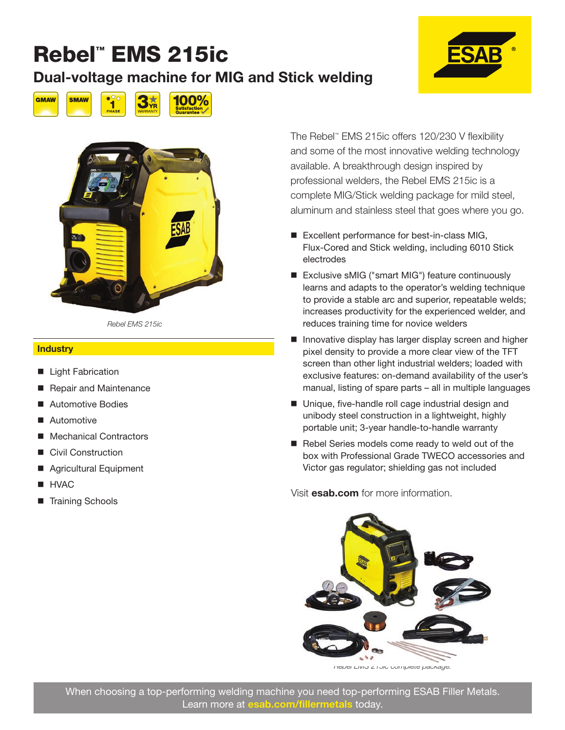#### Dual-voltage machine for MIG and Stick welding







*Rebel EMS 215ic*

#### **Industry**

- **Light Fabrication**
- Repair and Maintenance
- Automotive Bodies
- Automotive
- Mechanical Contractors
- Civil Construction
- Agricultural Equipment
- **HVAC**
- Training Schools

The Rebel™ EMS 215ic offers 120/230 V flexibility and some of the most innovative welding technology available. A breakthrough design inspired by professional welders, the Rebel EMS 215ic is a complete MIG/Stick welding package for mild steel, aluminum and stainless steel that goes where you go.

- Excellent performance for best-in-class MIG, Flux-Cored and Stick welding, including 6010 Stick electrodes
- Exclusive sMIG ("smart MIG") feature continuously learns and adapts to the operator's welding technique to provide a stable arc and superior, repeatable welds; increases productivity for the experienced welder, and reduces training time for novice welders
- **Innovative display has larger display screen and higher** pixel density to provide a more clear view of the TFT screen than other light industrial welders; loaded with exclusive features: on-demand availability of the user's manual, listing of spare parts – all in multiple languages
- $\blacksquare$  Unique, five-handle roll cage industrial design and unibody steel construction in a lightweight, highly portable unit; 3-year handle-to-handle warranty
- Rebel Series models come ready to weld out of the box with Professional Grade TWECO accessories and Victor gas regulator; shielding gas not included

Visit esab.com for more information.



*Rebel EMS 215ic complete package.*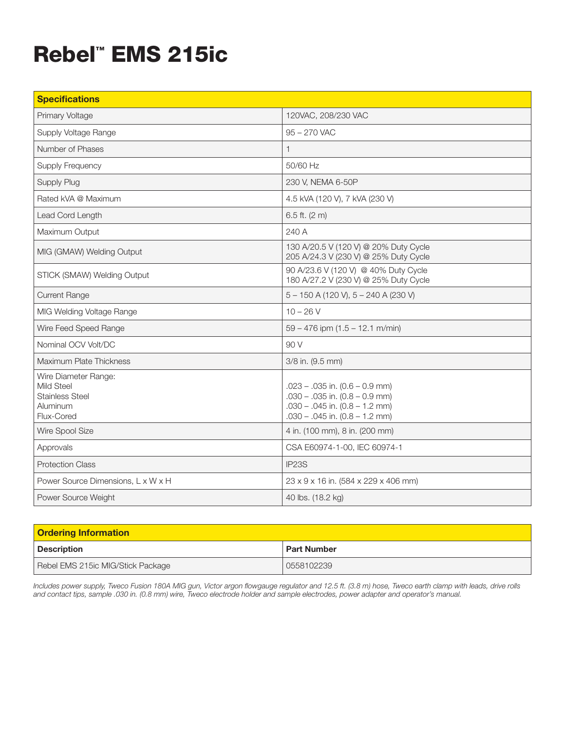| <b>Specifications</b>                                                                         |                                                                                                                                                    |
|-----------------------------------------------------------------------------------------------|----------------------------------------------------------------------------------------------------------------------------------------------------|
| Primary Voltage                                                                               | 120VAC, 208/230 VAC                                                                                                                                |
| Supply Voltage Range                                                                          | 95 - 270 VAC                                                                                                                                       |
| Number of Phases                                                                              | $\mathbf{1}$                                                                                                                                       |
| <b>Supply Frequency</b>                                                                       | 50/60 Hz                                                                                                                                           |
| Supply Plug                                                                                   | 230 V, NEMA 6-50P                                                                                                                                  |
| Rated kVA @ Maximum                                                                           | 4.5 KVA (120 V), 7 KVA (230 V)                                                                                                                     |
| Lead Cord Length                                                                              | $6.5$ ft. (2 m)                                                                                                                                    |
| Maximum Output                                                                                | 240 A                                                                                                                                              |
| MIG (GMAW) Welding Output                                                                     | 130 A/20.5 V (120 V) @ 20% Duty Cycle<br>205 A/24.3 V (230 V) @ 25% Duty Cycle                                                                     |
| STICK (SMAW) Welding Output                                                                   | 90 A/23.6 V (120 V) @ 40% Duty Cycle<br>180 A/27.2 V (230 V) @ 25% Duty Cycle                                                                      |
| <b>Current Range</b>                                                                          | 5 - 150 A (120 V), 5 - 240 A (230 V)                                                                                                               |
| MIG Welding Voltage Range                                                                     | $10 - 26V$                                                                                                                                         |
| Wire Feed Speed Range                                                                         | $59 - 476$ ipm $(1.5 - 12.1$ m/min)                                                                                                                |
| Nominal OCV Volt/DC                                                                           | 90 V                                                                                                                                               |
| Maximum Plate Thickness                                                                       | 3/8 in. (9.5 mm)                                                                                                                                   |
| Wire Diameter Range:<br><b>Mild Steel</b><br><b>Stainless Steel</b><br>Aluminum<br>Flux-Cored | $.023 - .035$ in. (0.6 - 0.9 mm)<br>$.030 - .035$ in. $(0.8 - 0.9$ mm)<br>$.030 - .045$ in. $(0.8 - 1.2$ mm)<br>$.030 - .045$ in. $(0.8 - 1.2$ mm) |
| Wire Spool Size                                                                               | 4 in. (100 mm), 8 in. (200 mm)                                                                                                                     |
| Approvals                                                                                     | CSA E60974-1-00, IEC 60974-1                                                                                                                       |
| <b>Protection Class</b>                                                                       | IP <sub>23</sub> S                                                                                                                                 |
| Power Source Dimensions, L x W x H                                                            | 23 x 9 x 16 in. (584 x 229 x 406 mm)                                                                                                               |
| Power Source Weight                                                                           | 40 lbs. (18.2 kg)                                                                                                                                  |

| <b>Ordering Information</b>       |                    |
|-----------------------------------|--------------------|
| <b>Description</b>                | <b>Part Number</b> |
| Rebel EMS 215ic MIG/Stick Package | 0558102239         |

*Includes power supply, Tweco Fusion 180A MIG gun, Victor argon flowgauge regulator and 12.5 ft. (3.8 m) hose, Tweco earth clamp with leads, drive rolls and contact tips, sample .030 in. (0.8 mm) wire, Tweco electrode holder and sample electrodes, power adapter and operator's manual.*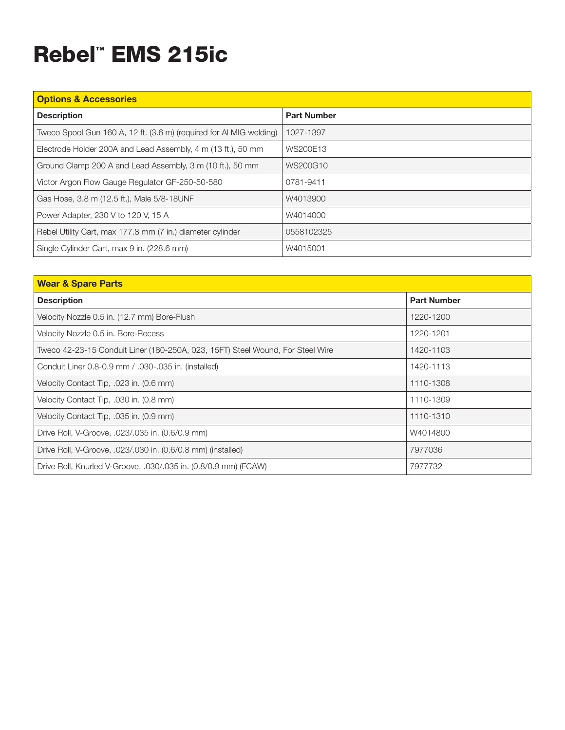| <b>Options &amp; Accessories</b>                                    |                    |  |
|---------------------------------------------------------------------|--------------------|--|
| <b>Description</b>                                                  | <b>Part Number</b> |  |
| Tweco Spool Gun 160 A, 12 ft. (3.6 m) (required for Al MIG welding) | 1027-1397          |  |
| Electrode Holder 200A and Lead Assembly, 4 m (13 ft.), 50 mm        | WS200E13           |  |
| Ground Clamp 200 A and Lead Assembly, 3 m (10 ft.), 50 mm           | WS200G10           |  |
| Victor Argon Flow Gauge Regulator GF-250-50-580                     | 0781-9411          |  |
| Gas Hose, 3.8 m (12.5 ft.), Male 5/8-18UNF                          | W4013900           |  |
| Power Adapter, 230 V to 120 V, 15 A                                 | W4014000           |  |
| Rebel Utility Cart, max 177.8 mm (7 in.) diameter cylinder          | 0558102325         |  |
| Single Cylinder Cart, max 9 in. (228.6 mm)                          | W4015001           |  |

| <b>Wear &amp; Spare Parts</b>                                                  |                    |
|--------------------------------------------------------------------------------|--------------------|
| <b>Description</b>                                                             | <b>Part Number</b> |
| Velocity Nozzle 0.5 in. (12.7 mm) Bore-Flush                                   | 1220-1200          |
| Velocity Nozzle 0.5 in. Bore-Recess                                            | 1220-1201          |
| Tweco 42-23-15 Conduit Liner (180-250A, 023, 15FT) Steel Wound, For Steel Wire | 1420-1103          |
| Conduit Liner 0.8-0.9 mm / .030-.035 in. (installed)                           | 1420-1113          |
| Velocity Contact Tip, .023 in. (0.6 mm)                                        | 1110-1308          |
| Velocity Contact Tip, .030 in. (0.8 mm)                                        | 1110-1309          |
| Velocity Contact Tip, .035 in. (0.9 mm)                                        | 1110-1310          |
| Drive Roll, V-Groove, .023/.035 in. (0.6/0.9 mm)                               | W4014800           |
| Drive Roll, V-Groove, .023/.030 in. (0.6/0.8 mm) (installed)                   | 7977036            |
| Drive Roll, Knurled V-Groove, .030/.035 in. (0.8/0.9 mm) (FCAW)                | 7977732            |